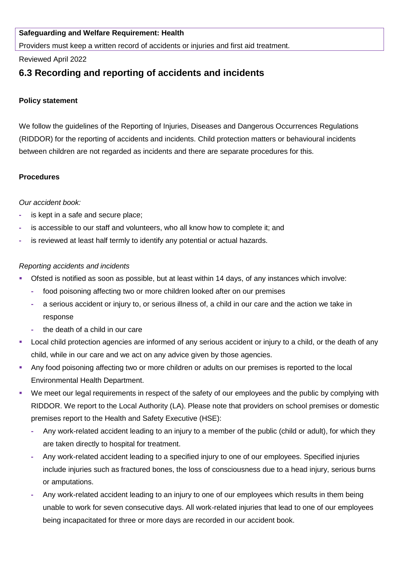## **Safeguarding and Welfare Requirement: Health**

Providers must keep a written record of accidents or injuries and first aid treatment.

### Reviewed April 2022

# **6.3 Recording and reporting of accidents and incidents**

## **Policy statement**

We follow the guidelines of the Reporting of Injuries, Diseases and Dangerous Occurrences Regulations (RIDDOR) for the reporting of accidents and incidents. Child protection matters or behavioural incidents between children are not regarded as incidents and there are separate procedures for this.

### **Procedures**

### *Our accident book:*

- **-** is kept in a safe and secure place;
- **-** is accessible to our staff and volunteers, who all know how to complete it; and
- **-** is reviewed at least half termly to identify any potential or actual hazards.

### *Reporting accidents and incidents*

- Ofsted is notified as soon as possible, but at least within 14 days, of any instances which involve:
	- **-** food poisoning affecting two or more children looked after on our premises
	- **-** a serious accident or injury to, or serious illness of, a child in our care and the action we take in response
	- **-** the death of a child in our care
- Local child protection agencies are informed of any serious accident or injury to a child, or the death of any child, while in our care and we act on any advice given by those agencies.
- Any food poisoning affecting two or more children or adults on our premises is reported to the local Environmental Health Department.
- We meet our legal requirements in respect of the safety of our employees and the public by complying with RIDDOR. We report to the Local Authority (LA). Please note that providers on school premises or domestic premises report to the Health and Safety Executive (HSE):
	- **-** Any work-related accident leading to an injury to a member of the public (child or adult), for which they are taken directly to hospital for treatment.
	- **-** Any work-related accident leading to a specified injury to one of our employees. Specified injuries include injuries such as fractured bones, the loss of consciousness due to a head injury, serious burns or amputations.
	- **-** Any work-related accident leading to an injury to one of our employees which results in them being unable to work for seven consecutive days. All work-related injuries that lead to one of our employees being incapacitated for three or more days are recorded in our accident book.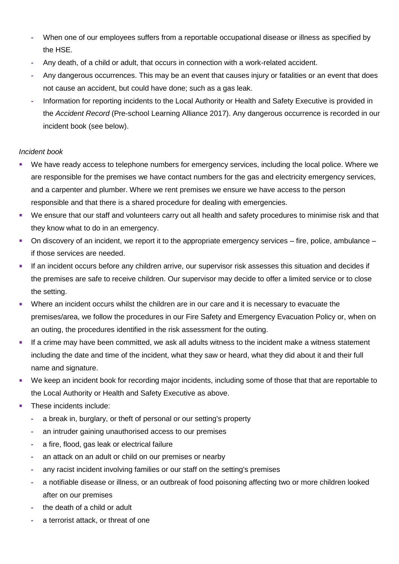- **-** When one of our employees suffers from a reportable occupational disease or illness as specified by the HSE.
- **-** Any death, of a child or adult, that occurs in connection with a work-related accident.
- **-** Any dangerous occurrences. This may be an event that causes injury or fatalities or an event that does not cause an accident, but could have done; such as a gas leak.
- **-** Information for reporting incidents to the Local Authority or Health and Safety Executive is provided in the *Accident Record* (Pre-school Learning Alliance 2017). Any dangerous occurrence is recorded in our incident book (see below).

### *Incident book*

- We have ready access to telephone numbers for emergency services, including the local police. Where we are responsible for the premises we have contact numbers for the gas and electricity emergency services, and a carpenter and plumber. Where we rent premises we ensure we have access to the person responsible and that there is a shared procedure for dealing with emergencies.
- We ensure that our staff and volunteers carry out all health and safety procedures to minimise risk and that they know what to do in an emergency.
- On discovery of an incident, we report it to the appropriate emergency services fire, police, ambulance if those services are needed.
- **EXECUTE:** If an incident occurs before any children arrive, our supervisor risk assesses this situation and decides if the premises are safe to receive children. Our supervisor may decide to offer a limited service or to close the setting.
- Where an incident occurs whilst the children are in our care and it is necessary to evacuate the premises/area, we follow the procedures in our Fire Safety and Emergency Evacuation Policy or, when on an outing, the procedures identified in the risk assessment for the outing.
- **■** If a crime may have been committed, we ask all adults witness to the incident make a witness statement including the date and time of the incident, what they saw or heard, what they did about it and their full name and signature.
- We keep an incident book for recording major incidents, including some of those that that are reportable to the Local Authority or Health and Safety Executive as above.
- These incidents include:
	- **-** a break in, burglary, or theft of personal or our setting's property
	- **-** an intruder gaining unauthorised access to our premises
	- **-** a fire, flood, gas leak or electrical failure
	- **-** an attack on an adult or child on our premises or nearby
	- **-** any racist incident involving families or our staff on the setting's premises
	- **-** a notifiable disease or illness, or an outbreak of food poisoning affecting two or more children looked after on our premises
	- **-** the death of a child or adult
	- **-** a terrorist attack, or threat of one